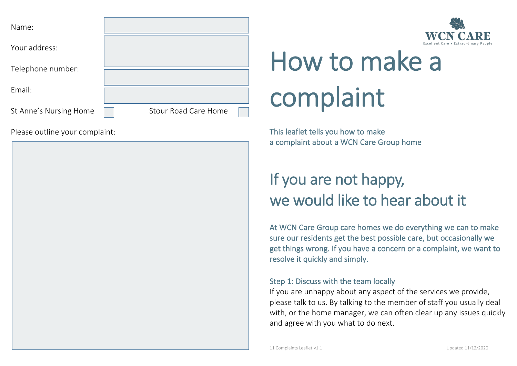| <b>WCN CARE</b>                       |  |
|---------------------------------------|--|
| Excellent Care • Extraordinary People |  |

| Name:                  |                             |
|------------------------|-----------------------------|
| Your address:          |                             |
| Telephone number:      |                             |
| Email:                 |                             |
| St Anne's Nursing Home | <b>Stour Road Care Home</b> |

Please outline your complaint:



a complaint about a WCN Care Group home

# If you are not happy, we would like to hear about it

At WCN Care Group care homes we do everything we can to make sure our residents get the best possible care, but occasionally we get things wrong. If you have a concern or a complaint, we want to resolve it quickly and simply.

#### Step 1: Discuss with the team locally

If you are unhappy about any aspect of the services we provide, please talk to us. By talking to the member of staff you usually deal with, or the home manager, we can often clear up any issues quickly and agree with you what to do next.